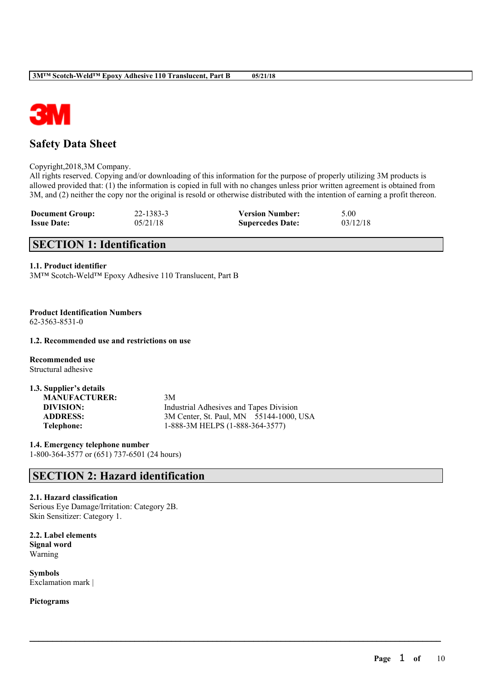



# **Safety Data Sheet**

Copyright,2018,3M Company.

All rights reserved. Copying and/or downloading of this information for the purpose of properly utilizing 3M products is allowed provided that: (1) the information is copied in full with no changes unless prior written agreement is obtained from 3M, and (2) neither the copy nor the original is resold or otherwise distributed with the intention of earning a profit thereon.

 $\mathcal{L}_\mathcal{L} = \mathcal{L}_\mathcal{L} = \mathcal{L}_\mathcal{L} = \mathcal{L}_\mathcal{L} = \mathcal{L}_\mathcal{L} = \mathcal{L}_\mathcal{L} = \mathcal{L}_\mathcal{L} = \mathcal{L}_\mathcal{L} = \mathcal{L}_\mathcal{L} = \mathcal{L}_\mathcal{L} = \mathcal{L}_\mathcal{L} = \mathcal{L}_\mathcal{L} = \mathcal{L}_\mathcal{L} = \mathcal{L}_\mathcal{L} = \mathcal{L}_\mathcal{L} = \mathcal{L}_\mathcal{L} = \mathcal{L}_\mathcal{L}$ 

| <b>Document Group:</b> | $22 - 1383 - 3$ | <b>Version Number:</b>  | 5.00     |
|------------------------|-----------------|-------------------------|----------|
| <b>Issue Date:</b>     | 05/21/18        | <b>Supercedes Date:</b> | 03/12/18 |

# **SECTION 1: Identification**

### **1.1. Product identifier**

3M™ Scotch-Weld™ Epoxy Adhesive 110 Translucent, Part B

**Product Identification Numbers** 62-3563-8531-0

# **1.2. Recommended use and restrictions on use**

**Recommended use** Structural adhesive

| 1.3. Supplier's details |                                                |
|-------------------------|------------------------------------------------|
| <b>MANUFACTURER:</b>    | 3M                                             |
| DIVISION:               | <b>Industrial Adhesives and Tapes Division</b> |
| <b>ADDRESS:</b>         | 3M Center, St. Paul, MN 55144-1000, USA        |
| Telephone:              | 1-888-3M HELPS (1-888-364-3577)                |

**1.4. Emergency telephone number** 1-800-364-3577 or (651) 737-6501 (24 hours)

# **SECTION 2: Hazard identification**

# **2.1. Hazard classification**

Serious Eye Damage/Irritation: Category 2B. Skin Sensitizer: Category 1.

**2.2. Label elements Signal word** Warning

**Symbols** Exclamation mark |

**Pictograms**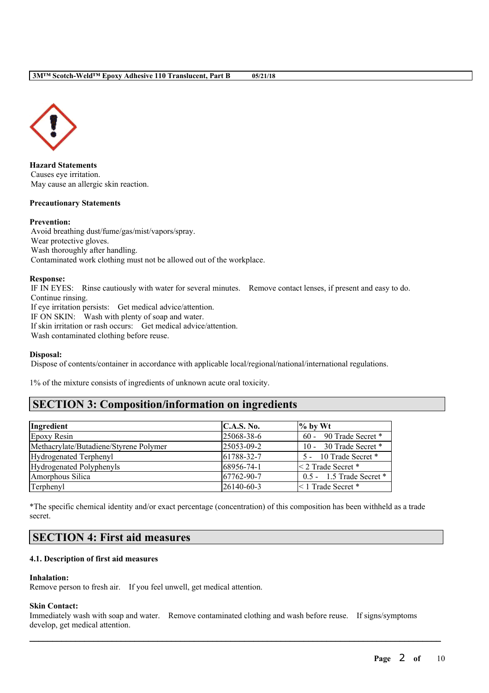

**Hazard Statements** Causes eye irritation. May cause an allergic skin reaction.

#### **Precautionary Statements**

### **Prevention:**

Avoid breathing dust/fume/gas/mist/vapors/spray. Wear protective gloves. Wash thoroughly after handling. Contaminated work clothing must not be allowed out of the workplace.

#### **Response:**

IF IN EYES: Rinse cautiously with water for several minutes. Remove contact lenses, if present and easy to do. Continue rinsing.

If eye irritation persists: Get medical advice/attention.

IF ON SKIN: Wash with plenty of soap and water.

If skin irritation or rash occurs: Get medical advice/attention.

Wash contaminated clothing before reuse.

# **Disposal:**

Dispose of contents/container in accordance with applicable local/regional/national/international regulations.

1% of the mixture consists of ingredients of unknown acute oral toxicity.

# **SECTION 3: Composition/information on ingredients**

| Ingredient                             | C.A.S. No. | $\%$ by Wt                   |
|----------------------------------------|------------|------------------------------|
| Epoxy Resin                            | 25068-38-6 | 60 - 90 Trade Secret *       |
| Methacrylate/Butadiene/Styrene Polymer | 25053-09-2 | 10 - 30 Trade Secret *       |
| Hydrogenated Terphenyl                 | 61788-32-7 | 5 - 10 Trade Secret *        |
| Hydrogenated Polyphenyls               | 68956-74-1 | $\leq$ 2 Trade Secret *      |
| Amorphous Silica                       | 67762-90-7 | $0.5 - 1.5$ Trade Secret $*$ |
| Terphenyl                              | 26140-60-3 | $\leq 1$ Trade Secret *      |

\*The specific chemical identity and/or exact percentage (concentration) of this composition has been withheld as a trade secret.

# **SECTION 4: First aid measures**

# **4.1. Description of first aid measures**

# **Inhalation:**

Remove person to fresh air. If you feel unwell, get medical attention.

#### **Skin Contact:**

Immediately wash with soap and water. Remove contaminated clothing and wash before reuse. If signs/symptoms develop, get medical attention.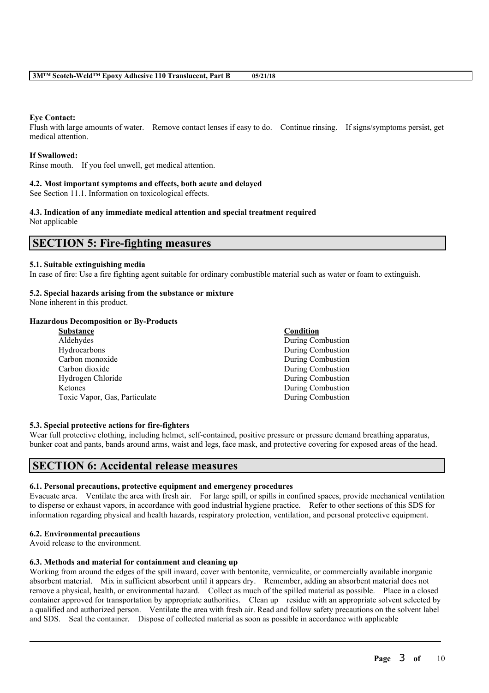# **Eye Contact:**

Flush with large amounts of water. Remove contact lenses if easy to do. Continue rinsing. If signs/symptoms persist, get medical attention.

### **If Swallowed:**

Rinse mouth. If you feel unwell, get medical attention.

# **4.2. Most important symptoms and effects, both acute and delayed**

See Section 11.1. Information on toxicological effects.

#### **4.3. Indication of any immediate medical attention and special treatment required** Not applicable

# **SECTION 5: Fire-fighting measures**

# **5.1. Suitable extinguishing media**

In case of fire: Use a fire fighting agent suitable for ordinary combustible material such as water or foam to extinguish.

# **5.2. Special hazards arising from the substance or mixture**

None inherent in this product.

# **Hazardous Decomposition or By-Products**

| Substance                     | Condition                |
|-------------------------------|--------------------------|
| Aldehydes                     | <b>During Combustion</b> |
| Hydrocarbons                  | During Combustion        |
| Carbon monoxide               | During Combustion        |
| Carbon dioxide                | During Combustion        |
| Hydrogen Chloride             | During Combustion        |
| Ketones                       | During Combustion        |
| Toxic Vapor, Gas, Particulate | During Combustion        |
|                               |                          |

# **5.3. Special protective actions for fire-fighters**

Wear full protective clothing, including helmet, self-contained, positive pressure or pressure demand breathing apparatus, bunker coat and pants, bands around arms, waist and legs, face mask, and protective covering for exposed areas of the head.

# **SECTION 6: Accidental release measures**

# **6.1. Personal precautions, protective equipment and emergency procedures**

Evacuate area. Ventilate the area with fresh air. For large spill, or spills in confined spaces, provide mechanical ventilation to disperse or exhaust vapors, in accordance with good industrial hygiene practice. Refer to other sections of this SDS for information regarding physical and health hazards, respiratory protection, ventilation, and personal protective equipment.

#### **6.2. Environmental precautions**

Avoid release to the environment.

# **6.3. Methods and material for containment and cleaning up**

Working from around the edges of the spill inward, cover with bentonite, vermiculite, or commercially available inorganic absorbent material. Mix in sufficient absorbent until it appears dry. Remember, adding an absorbent material does not remove a physical, health, or environmental hazard. Collect as much of the spilled material as possible. Place in a closed container approved for transportation by appropriate authorities. Clean up residue with an appropriate solvent selected by a qualified and authorized person. Ventilate the area with fresh air. Read and follow safety precautions on the solvent label and SDS. Seal the container. Dispose of collected material as soon as possible in accordance with applicable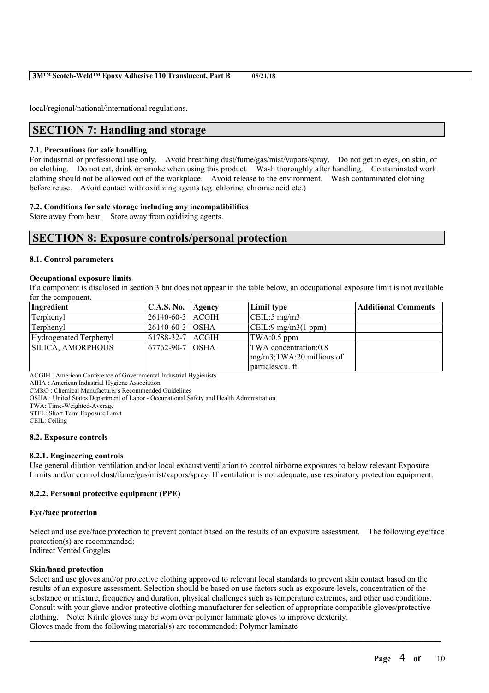local/regional/national/international regulations.

# **SECTION 7: Handling and storage**

#### **7.1. Precautions for safe handling**

For industrial or professional use only. Avoid breathing dust/fume/gas/mist/vapors/spray. Do not get in eyes, on skin, or on clothing. Do not eat, drink or smoke when using this product. Wash thoroughly after handling. Contaminated work clothing should not be allowed out of the workplace. Avoid release to the environment. Wash contaminated clothing before reuse. Avoid contact with oxidizing agents (eg. chlorine, chromic acid etc.)

# **7.2. Conditions for safe storage including any incompatibilities**

Store away from heat. Store away from oxidizing agents.

# **SECTION 8: Exposure controls/personal protection**

#### **8.1. Control parameters**

#### **Occupational exposure limits**

If a component is disclosed in section 3 but does not appear in the table below, an occupational exposure limit is not available for the component.

| Ingredient                    | $C.A.S. No.$ Agency | Limit type                    | <b>Additional Comments</b> |
|-------------------------------|---------------------|-------------------------------|----------------------------|
| Terphenyl                     | 26140-60-3 ACGIH    | $\vert$ CEIL:5 mg/m3          |                            |
| Terphenyl                     | 26140-60-3 OSHA     | $\vert$ CEIL:9 mg/m3(1 ppm)   |                            |
| <b>Hydrogenated Terphenyl</b> | 61788-32-7 ACGIH    | TWA:0.5 ppm                   |                            |
| SILICA, AMORPHOUS             | 167762-90-7 1OSHA   | TWA concentration:0.8         |                            |
|                               |                     | $mg/m3$ ; TWA: 20 millions of |                            |
|                               |                     | particles/cu. ft.             |                            |

ACGIH : American Conference of Governmental Industrial Hygienists

AIHA : American Industrial Hygiene Association

CMRG : Chemical Manufacturer's Recommended Guidelines

OSHA : United States Department of Labor - Occupational Safety and Health Administration

TWA: Time-Weighted-Average

STEL: Short Term Exposure Limit

CEIL: Ceiling

#### **8.2. Exposure controls**

# **8.2.1. Engineering controls**

Use general dilution ventilation and/or local exhaust ventilation to control airborne exposures to below relevant Exposure Limits and/or control dust/fume/gas/mist/vapors/spray. If ventilation is not adequate, use respiratory protection equipment.

# **8.2.2. Personal protective equipment (PPE)**

#### **Eye/face protection**

Select and use eye/face protection to prevent contact based on the results of an exposure assessment. The following eye/face protection(s) are recommended:

Indirect Vented Goggles

#### **Skin/hand protection**

Select and use gloves and/or protective clothing approved to relevant local standards to prevent skin contact based on the results of an exposure assessment. Selection should be based on use factors such as exposure levels, concentration of the substance or mixture, frequency and duration, physical challenges such as temperature extremes, and other use conditions. Consult with your glove and/or protective clothing manufacturer for selection of appropriate compatible gloves/protective clothing. Note: Nitrile gloves may be worn over polymer laminate gloves to improve dexterity. Gloves made from the following material(s) are recommended: Polymer laminate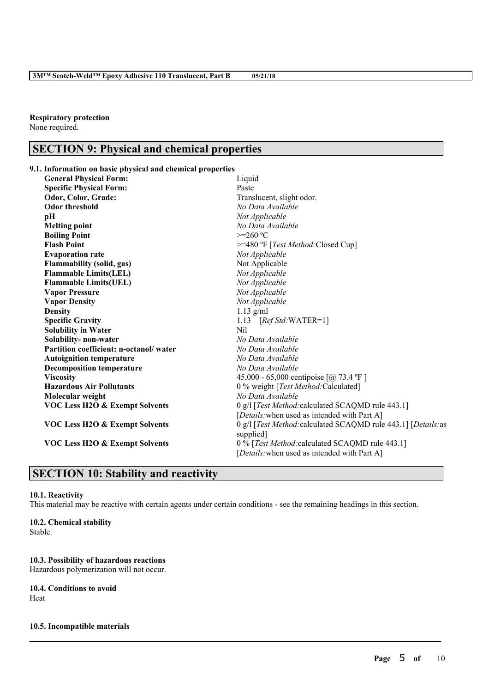**Respiratory protection** None required.

# **SECTION 9: Physical and chemical properties**

# **9.1. Information on basic physical and chemical properties**

| <b>General Physical Form:</b>             | Liquid                                                         |  |
|-------------------------------------------|----------------------------------------------------------------|--|
| <b>Specific Physical Form:</b>            | Paste                                                          |  |
| Odor, Color, Grade:                       | Translucent, slight odor.                                      |  |
| <b>Odor threshold</b>                     | No Data Available                                              |  |
| pН                                        | Not Applicable                                                 |  |
| <b>Melting point</b>                      | No Data Available                                              |  |
| <b>Boiling Point</b>                      | $>=260 °C$                                                     |  |
| <b>Flash Point</b>                        | >=480 °F [Test Method: Closed Cup]                             |  |
| <b>Evaporation rate</b>                   | Not Applicable                                                 |  |
| <b>Flammability (solid, gas)</b>          | Not Applicable                                                 |  |
| <b>Flammable Limits(LEL)</b>              | Not Applicable                                                 |  |
| <b>Flammable Limits(UEL)</b>              | Not Applicable                                                 |  |
| <b>Vapor Pressure</b>                     | Not Applicable                                                 |  |
| <b>Vapor Density</b>                      | Not Applicable                                                 |  |
| <b>Density</b>                            | $1.13$ g/ml                                                    |  |
| <b>Specific Gravity</b>                   | 1.13 $[RefStd:WATER=1]$                                        |  |
| <b>Solubility in Water</b>                | N <sub>il</sub>                                                |  |
| Solubility-non-water                      | No Data Available                                              |  |
| Partition coefficient: n-octanol/water    | No Data Available                                              |  |
| <b>Autoignition temperature</b>           | No Data Available                                              |  |
| <b>Decomposition temperature</b>          | No Data Available                                              |  |
| <b>Viscosity</b>                          | 45,000 - 65,000 centipoise [@ 73.4 °F ]                        |  |
| <b>Hazardous Air Pollutants</b>           | 0 % weight [Test Method: Calculated]                           |  |
| Molecular weight                          | No Data Available                                              |  |
| <b>VOC Less H2O &amp; Exempt Solvents</b> | 0 g/l [Test Method: calculated SCAQMD rule 443.1]              |  |
|                                           | [Details: when used as intended with Part A]                   |  |
| <b>VOC Less H2O &amp; Exempt Solvents</b> | 0 g/l [Test Method: calculated SCAQMD rule 443.1] [Details: as |  |
|                                           | supplied]                                                      |  |
| <b>VOC Less H2O &amp; Exempt Solvents</b> | 0 % [Test Method: calculated SCAQMD rule 443.1]                |  |
|                                           | [ <i>Details</i> : when used as intended with Part A]          |  |

# **SECTION 10: Stability and reactivity**

# **10.1. Reactivity**

This material may be reactive with certain agents under certain conditions - see the remaining headings in this section.

 $\mathcal{L}_\mathcal{L} = \mathcal{L}_\mathcal{L} = \mathcal{L}_\mathcal{L} = \mathcal{L}_\mathcal{L} = \mathcal{L}_\mathcal{L} = \mathcal{L}_\mathcal{L} = \mathcal{L}_\mathcal{L} = \mathcal{L}_\mathcal{L} = \mathcal{L}_\mathcal{L} = \mathcal{L}_\mathcal{L} = \mathcal{L}_\mathcal{L} = \mathcal{L}_\mathcal{L} = \mathcal{L}_\mathcal{L} = \mathcal{L}_\mathcal{L} = \mathcal{L}_\mathcal{L} = \mathcal{L}_\mathcal{L} = \mathcal{L}_\mathcal{L}$ 

# **10.2. Chemical stability**

Stable.

# **10.3. Possibility of hazardous reactions**

Hazardous polymerization will not occur.

# **10.4. Conditions to avoid**

Heat

# **10.5. Incompatible materials**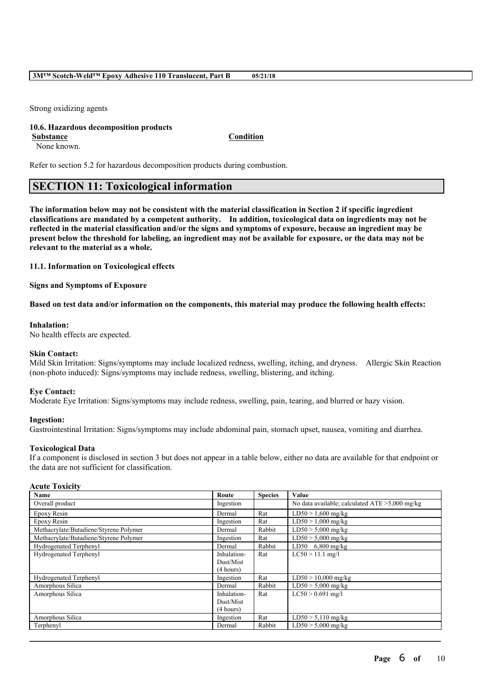Strong oxidizing agents

# **10.6. Hazardous decomposition products**

**Substance Condition**

None known.

Refer to section 5.2 for hazardous decomposition products during combustion.

# **SECTION 11: Toxicological information**

The information below may not be consistent with the material classification in Section 2 if specific ingredient **classifications are mandated by a competent authority. In addition, toxicological data on ingredients may not be** reflected in the material classification and/or the signs and symptoms of exposure, because an ingredient may be present below the threshold for labeling, an ingredient may not be available for exposure, or the data may not be **relevant to the material as a whole.**

# **11.1. Information on Toxicological effects**

**Signs and Symptoms of Exposure**

Based on test data and/or information on the components, this material may produce the following health effects:

# **Inhalation:**

No health effects are expected.

# **Skin Contact:**

Mild Skin Irritation: Signs/symptoms may include localized redness, swelling, itching, and dryness. Allergic Skin Reaction (non-photo induced): Signs/symptoms may include redness, swelling, blistering, and itching.

# **Eye Contact:**

Moderate Eye Irritation: Signs/symptoms may include redness, swelling, pain, tearing, and blurred or hazy vision.

# **Ingestion:**

Gastrointestinal Irritation: Signs/symptoms may include abdominal pain, stomach upset, nausea, vomiting and diarrhea.

# **Toxicological Data**

If a component is disclosed in section 3 but does not appear in a table below, either no data are available for that endpoint or the data are not sufficient for classification.

# **Acute Toxicity**

| Name                                   | Route       | <b>Species</b> | Value                                             |
|----------------------------------------|-------------|----------------|---------------------------------------------------|
| Overall product                        | Ingestion   |                | No data available; calculated $ATE > 5,000$ mg/kg |
| Epoxy Resin                            | Dermal      | Rat            | $LD50 > 1,600$ mg/kg                              |
| Epoxy Resin                            | Ingestion   | Rat            | $LD50 > 1,000$ mg/kg                              |
| Methacrylate/Butadiene/Styrene Polymer | Dermal      | Rabbit         | $LD50 > 5,000$ mg/kg                              |
| Methacrylate/Butadiene/Styrene Polymer | Ingestion   | Rat            | $LD50 > 5,000$ mg/kg                              |
| Hydrogenated Terphenyl                 | Dermal      | Rabbit         | LD50 $6,800$ mg/kg                                |
| Hydrogenated Terphenyl                 | Inhalation- | Rat            | $LC50 > 11.1$ mg/l                                |
|                                        | Dust/Mist   |                |                                                   |
|                                        | (4 hours)   |                |                                                   |
| <b>Hydrogenated Terphenyl</b>          | Ingestion   | Rat            | $LD50 > 10,000$ mg/kg                             |
| Amorphous Silica                       | Dermal      | Rabbit         | $LD50 > 5,000$ mg/kg                              |
| Amorphous Silica                       | Inhalation- | Rat            | $LC50 > 0.691$ mg/l                               |
|                                        | Dust/Mist   |                |                                                   |
|                                        | (4 hours)   |                |                                                   |
| Amorphous Silica                       | Ingestion   | Rat            | $LD50 > 5,110$ mg/kg                              |
| Terphenyl                              | Dermal      | Rabbit         | $LD50 > 5,000$ mg/kg                              |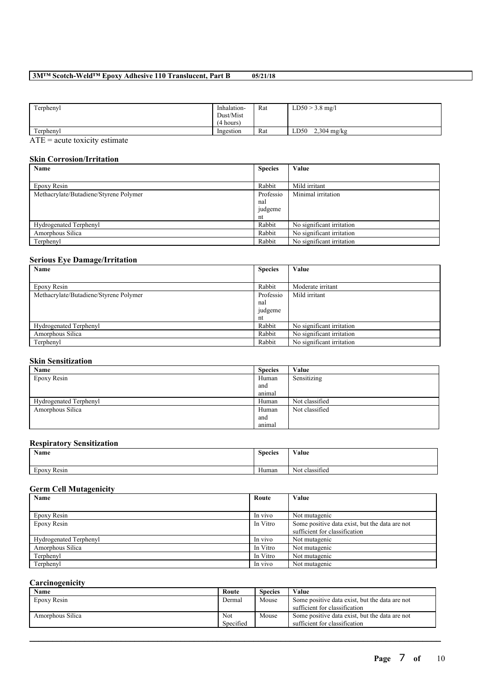# **3M™ Scotch-Weld™ Epoxy Adhesive 110 Translucent, Part B 05/21/18**

| Terphenyl                                                                                                | Inhalation-<br>Dust/Mist<br>(4 hours) | Rat | $LD50 > 3.8$ mg/l     |
|----------------------------------------------------------------------------------------------------------|---------------------------------------|-----|-----------------------|
| Terphenyl                                                                                                | Ingestion                             | Rat | $2,304$ mg/kg<br>LD50 |
| $\sim$ $\sim$<br>$\sim$ $\sim$ $\sim$ $\sim$ $\sim$ $\sim$ $\sim$<br>the contract of the contract of the |                                       |     |                       |

 $ATE = acute$  toxicity estimate

# **Skin Corrosion/Irritation**

| Name                                   | <b>Species</b> | Value                     |
|----------------------------------------|----------------|---------------------------|
|                                        |                |                           |
| Epoxy Resin                            | Rabbit         | Mild irritant             |
| Methacrylate/Butadiene/Styrene Polymer | Professio      | Minimal irritation        |
|                                        | nal            |                           |
|                                        | judgeme        |                           |
|                                        | nt             |                           |
| Hydrogenated Terphenyl                 | Rabbit         | No significant irritation |
| Amorphous Silica                       | Rabbit         | No significant irritation |
| Terphenyl                              | Rabbit         | No significant irritation |

# **Serious Eye Damage/Irritation**

| Name                                   | <b>Species</b> | Value                     |
|----------------------------------------|----------------|---------------------------|
|                                        |                |                           |
| Epoxy Resin                            | Rabbit         | Moderate irritant         |
| Methacrylate/Butadiene/Styrene Polymer | Professio      | Mild irritant             |
|                                        | nal            |                           |
|                                        | judgeme        |                           |
|                                        | nt             |                           |
| Hydrogenated Terphenyl                 | Rabbit         | No significant irritation |
| Amorphous Silica                       | Rabbit         | No significant irritation |
| Terphenyl                              | Rabbit         | No significant irritation |

# **Skin Sensitization**

| Name                          | <b>Species</b> | Value          |
|-------------------------------|----------------|----------------|
| Epoxy Resin                   | Human          | Sensitizing    |
|                               | and            |                |
|                               | animal         |                |
| <b>Hydrogenated Terphenyl</b> | Human          | Not classified |
| Amorphous Silica              | Human          | Not classified |
|                               | and            |                |
|                               | animal         |                |

#### **Respiratory Sensitization**

| Name                     | <b>Species</b>        | Value                    |
|--------------------------|-----------------------|--------------------------|
| $\sim$<br>Resin<br>Epoxy | $\mathbf{v}$<br>Human | $\sim$<br>Not classified |

### **Germ Cell Mutagenicity**

| Name                   | Route    | Value                                                                           |
|------------------------|----------|---------------------------------------------------------------------------------|
|                        |          |                                                                                 |
| Epoxy Resin            | In vivo  | Not mutagenic                                                                   |
| Epoxy Resin            | In Vitro | Some positive data exist, but the data are not<br>sufficient for classification |
| Hydrogenated Terphenyl | In vivo  | Not mutagenic                                                                   |
| Amorphous Silica       | In Vitro | Not mutagenic                                                                   |
| Terphenyl              | In Vitro | Not mutagenic                                                                   |
| Terphenyl              | In vivo  | Not mutagenic                                                                   |

# **Carcinogenicity**

| Name             | Route     | <b>Species</b> | Value                                          |
|------------------|-----------|----------------|------------------------------------------------|
| Epoxy Resin      | Dermal    | Mouse          | Some positive data exist, but the data are not |
|                  |           |                | sufficient for classification                  |
| Amorphous Silica | Not       | Mouse          | Some positive data exist, but the data are not |
|                  | Specified |                | sufficient for classification                  |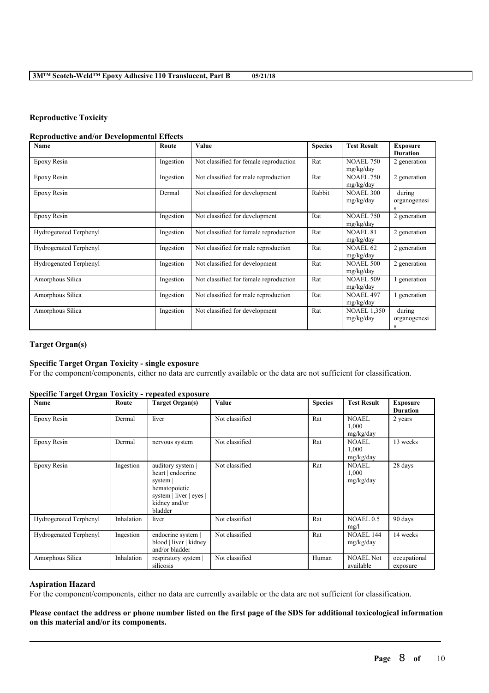# **Reproductive Toxicity**

### **Reproductive and/or Developmental Effects**

| Name                   | Route     | Value                                  | <b>Species</b> | <b>Test Result</b>              | <b>Exposure</b><br><b>Duration</b> |
|------------------------|-----------|----------------------------------------|----------------|---------------------------------|------------------------------------|
| Epoxy Resin            | Ingestion | Not classified for female reproduction | Rat            | <b>NOAEL 750</b><br>mg/kg/day   | 2 generation                       |
| Epoxy Resin            | Ingestion | Not classified for male reproduction   | Rat            | <b>NOAEL 750</b><br>mg/kg/day   | 2 generation                       |
| Epoxy Resin            | Dermal    | Not classified for development         | Rabbit         | <b>NOAEL 300</b><br>mg/kg/day   | during<br>organogenesi<br>S        |
| Epoxy Resin            | Ingestion | Not classified for development         | Rat            | <b>NOAEL 750</b><br>mg/kg/day   | 2 generation                       |
| Hydrogenated Terphenyl | Ingestion | Not classified for female reproduction | Rat            | <b>NOAEL 81</b><br>mg/kg/day    | 2 generation                       |
| Hydrogenated Terphenyl | Ingestion | Not classified for male reproduction   | Rat            | <b>NOAEL 62</b><br>mg/kg/day    | 2 generation                       |
| Hydrogenated Terphenyl | Ingestion | Not classified for development         | Rat            | <b>NOAEL 500</b><br>mg/kg/day   | 2 generation                       |
| Amorphous Silica       | Ingestion | Not classified for female reproduction | Rat            | <b>NOAEL 509</b><br>mg/kg/day   | generation                         |
| Amorphous Silica       | Ingestion | Not classified for male reproduction   | Rat            | <b>NOAEL 497</b><br>mg/kg/day   | 1 generation                       |
| Amorphous Silica       | Ingestion | Not classified for development         | Rat            | <b>NOAEL 1.350</b><br>mg/kg/day | during<br>organogenesi<br>S        |

# **Target Organ(s)**

### **Specific Target Organ Toxicity - single exposure**

For the component/components, either no data are currently available or the data are not sufficient for classification.

#### **Specific Target Organ Toxicity - repeated exposure**

| Name                          | Route      | <b>Target Organ(s)</b>                                                                                                   | Value          | <b>Species</b> | <b>Test Result</b>                 | <b>Exposure</b><br><b>Duration</b> |
|-------------------------------|------------|--------------------------------------------------------------------------------------------------------------------------|----------------|----------------|------------------------------------|------------------------------------|
| Epoxy Resin                   | Dermal     | liver                                                                                                                    | Not classified | Rat            | <b>NOAEL</b><br>1,000<br>mg/kg/day | 2 years                            |
| Epoxy Resin                   | Dermal     | nervous system                                                                                                           | Not classified | Rat            | <b>NOAEL</b><br>1,000<br>mg/kg/day | 13 weeks                           |
| Epoxy Resin                   | Ingestion  | auditory system<br>heart   endocrine<br>system  <br>hematopoietic<br>system   liver   eyes  <br>kidney and/or<br>bladder | Not classified | Rat            | <b>NOAEL</b><br>1.000<br>mg/kg/day | 28 days                            |
| <b>Hydrogenated Terphenyl</b> | Inhalation | liver                                                                                                                    | Not classified | Rat            | NOAEL 0.5<br>mg/l                  | 90 days                            |
| <b>Hydrogenated Terphenyl</b> | Ingestion  | endocrine system  <br>blood   liver   kidney<br>and/or bladder                                                           | Not classified | Rat            | <b>NOAEL 144</b><br>mg/kg/day      | 14 weeks                           |
| Amorphous Silica              | Inhalation | respiratory system<br>silicosis                                                                                          | Not classified | Human          | <b>NOAEL Not</b><br>available      | occupational<br>exposure           |

# **Aspiration Hazard**

For the component/components, either no data are currently available or the data are not sufficient for classification.

# Please contact the address or phone number listed on the first page of the SDS for additional toxicological information **on this material and/or its components.**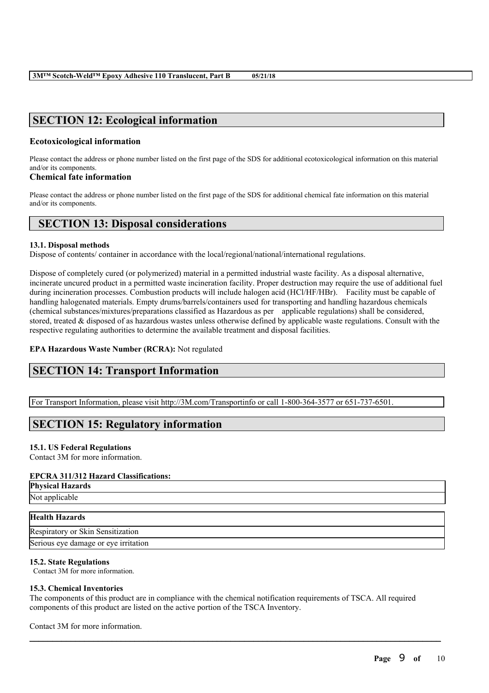# **SECTION 12: Ecological information**

# **Ecotoxicological information**

Please contact the address or phone number listed on the first page of the SDS for additional ecotoxicological information on this material and/or its components.

# **Chemical fate information**

Please contact the address or phone number listed on the first page of the SDS for additional chemical fate information on this material and/or its components.

# **SECTION 13: Disposal considerations**

# **13.1. Disposal methods**

Dispose of contents/ container in accordance with the local/regional/national/international regulations.

Dispose of completely cured (or polymerized) material in a permitted industrial waste facility. As a disposal alternative, incinerate uncured product in a permitted waste incineration facility. Proper destruction may require the use of additional fuel during incineration processes. Combustion products will include halogen acid (HCl/HF/HBr). Facility must be capable of handling halogenated materials. Empty drums/barrels/containers used for transporting and handling hazardous chemicals (chemical substances/mixtures/preparations classified as Hazardous as per applicable regulations) shall be considered, stored, treated & disposed of as hazardous wastes unless otherwise defined by applicable waste regulations. Consult with the respective regulating authorities to determine the available treatment and disposal facilities.

# **EPA Hazardous Waste Number (RCRA):** Not regulated

# **SECTION 14: Transport Information**

For Transport Information, please visit http://3M.com/Transportinfo or call 1-800-364-3577 or 651-737-6501.

# **SECTION 15: Regulatory information**

# **15.1. US Federal Regulations**

Contact 3M for more information.

# **EPCRA 311/312 Hazard Classifications:**

**Physical Hazards**

Not applicable

# **Health Hazards**

Respiratory or Skin Sensitization Serious eye damage or eye irritation

# **15.2. State Regulations**

Contact 3M for more information.

# **15.3. Chemical Inventories**

The components of this product are in compliance with the chemical notification requirements of TSCA. All required components of this product are listed on the active portion of the TSCA Inventory.

 $\mathcal{L}_\mathcal{L} = \mathcal{L}_\mathcal{L} = \mathcal{L}_\mathcal{L} = \mathcal{L}_\mathcal{L} = \mathcal{L}_\mathcal{L} = \mathcal{L}_\mathcal{L} = \mathcal{L}_\mathcal{L} = \mathcal{L}_\mathcal{L} = \mathcal{L}_\mathcal{L} = \mathcal{L}_\mathcal{L} = \mathcal{L}_\mathcal{L} = \mathcal{L}_\mathcal{L} = \mathcal{L}_\mathcal{L} = \mathcal{L}_\mathcal{L} = \mathcal{L}_\mathcal{L} = \mathcal{L}_\mathcal{L} = \mathcal{L}_\mathcal{L}$ 

Contact 3M for more information.